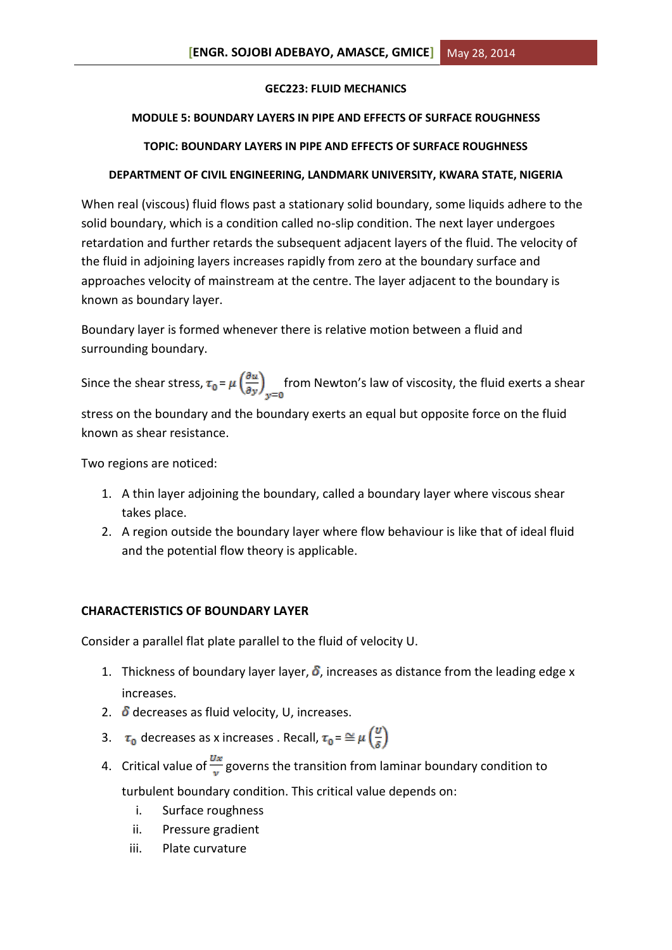### **GEC223: FLUID MECHANICS**

### **MODULE 5: BOUNDARY LAYERS IN PIPE AND EFFECTS OF SURFACE ROUGHNESS**

### **TOPIC: BOUNDARY LAYERS IN PIPE AND EFFECTS OF SURFACE ROUGHNESS**

### **DEPARTMENT OF CIVIL ENGINEERING, LANDMARK UNIVERSITY, KWARA STATE, NIGERIA**

When real (viscous) fluid flows past a stationary solid boundary, some liquids adhere to the solid boundary, which is a condition called no-slip condition. The next layer undergoes retardation and further retards the subsequent adjacent layers of the fluid. The velocity of the fluid in adjoining layers increases rapidly from zero at the boundary surface and approaches velocity of mainstream at the centre. The layer adjacent to the boundary is known as boundary layer.

Boundary layer is formed whenever there is relative motion between a fluid and surrounding boundary.

Since the shear stress,  $\tau_0 = \mu \left(\frac{\partial u}{\partial y}\right)_{x=0}$  from Newton's law of viscosity, the fluid exerts a shear

stress on the boundary and the boundary exerts an equal but opposite force on the fluid known as shear resistance.

Two regions are noticed:

- 1. A thin layer adjoining the boundary, called a boundary layer where viscous shear takes place.
- 2. A region outside the boundary layer where flow behaviour is like that of ideal fluid and the potential flow theory is applicable.

### **CHARACTERISTICS OF BOUNDARY LAYER**

Consider a parallel flat plate parallel to the fluid of velocity U.

- 1. Thickness of boundary layer layer,  $\delta$ , increases as distance from the leading edge x increases.
- 2.  $\delta$  decreases as fluid velocity, U, increases.
- 3.  $\tau_0$  decreases as x increases . Recall,  $\tau_0 = \cong \mu \left( \frac{v}{s} \right)$
- 4. Critical value of  $\frac{Ux}{v}$  governs the transition from laminar boundary condition to

turbulent boundary condition. This critical value depends on:

- i. Surface roughness
- ii. Pressure gradient
- iii. Plate curvature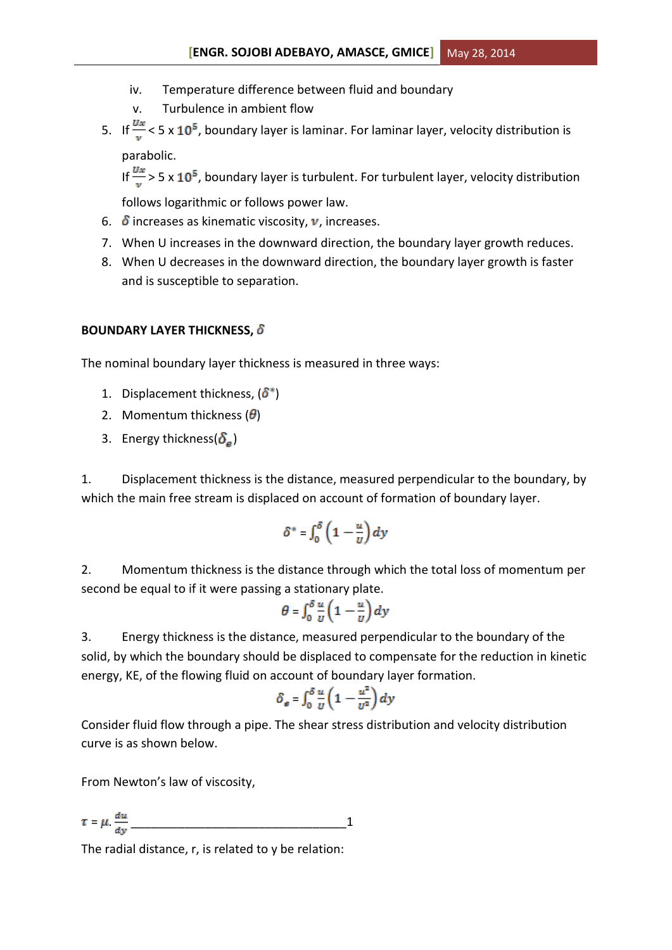- iv. Temperature difference between fluid and boundary
- v. Turbulence in ambient flow
- 5. If  $\frac{Ux}{U}$  < 5 x 10<sup>5</sup>, boundary layer is laminar. For laminar layer, velocity distribution is

parabolic.

If  $\frac{Ux}{V}$  > 5 x 10<sup>5</sup>, boundary layer is turbulent. For turbulent layer, velocity distribution

follows logarithmic or follows power law.

- 6.  $\delta$  increases as kinematic viscosity,  $\nu$ , increases.
- 7. When U increases in the downward direction, the boundary layer growth reduces.
- 8. When U decreases in the downward direction, the boundary layer growth is faster and is susceptible to separation.

# **BOUNDARY LAYER THICKNESS,**

The nominal boundary layer thickness is measured in three ways:

- 1. Displacement thickness,  $(\delta^*)$
- 2. Momentum thickness  $(\theta)$
- 3. Energy thickness( $\delta_e$ )

1. Displacement thickness is the distance, measured perpendicular to the boundary, by which the main free stream is displaced on account of formation of boundary layer.

$$
\delta^*=\int_0^\delta\left(1-\frac{u}{v}\right)dy
$$

2. Momentum thickness is the distance through which the total loss of momentum per second be equal to if it were passing a stationary plate.

$$
\theta = \int_0^\delta \frac{u}{v} \left( 1 - \frac{u}{v} \right) dy
$$

3. Energy thickness is the distance, measured perpendicular to the boundary of the solid, by which the boundary should be displaced to compensate for the reduction in kinetic energy, KE, of the flowing fluid on account of boundary layer formation.

$$
\delta_e = \int_0^\delta \frac{u}{v} \left( 1 - \frac{u^2}{v^2} \right) dy
$$

Consider fluid flow through a pipe. The shear stress distribution and velocity distribution curve is as shown below.

From Newton's law of viscosity,

$$
\tau = \mu \cdot \frac{du}{dy}
$$

The radial distance, r, is related to y be relation: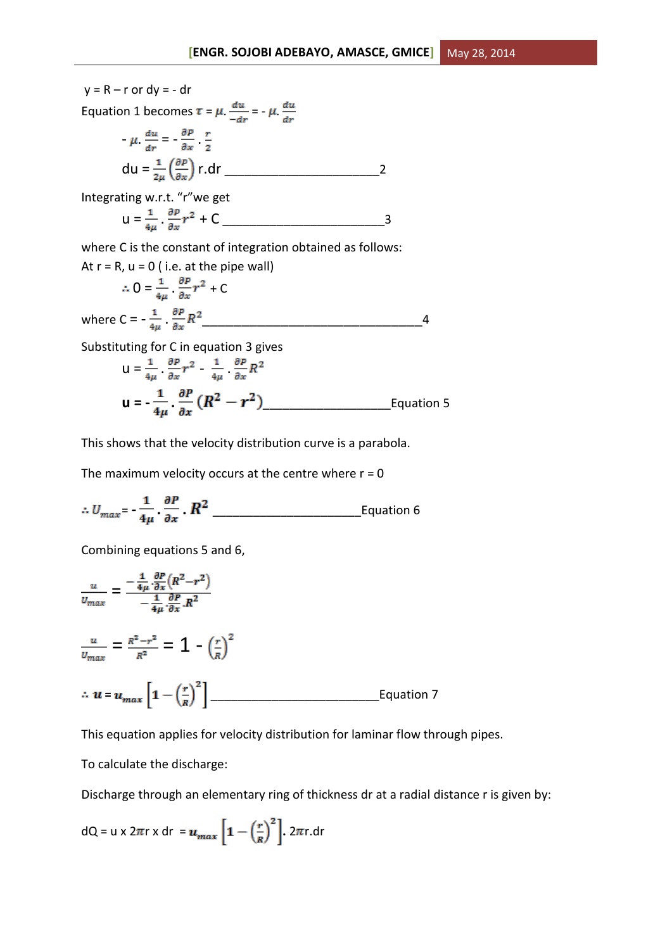$y = R - r$  or  $dy = - dr$ Equation 1 becomes  $\tau = \mu \frac{du}{-dr} = -\mu \frac{du}{dr}$  $-\mu \frac{du}{dr} = -\frac{\partial P}{\partial x} + \frac{r}{2}$ du = r.dr \_\_\_\_\_\_\_\_\_\_\_\_\_\_\_\_\_\_\_\_\_\_\_2 Integrating w.r.t. "r"we get

$$
u = \frac{1}{4\mu} \cdot \frac{\partial P}{\partial x} r^2 + C \quad \underline{\qquad} \qquad 3
$$

where C is the constant of integration obtained as follows:

At r = R, u = 0 (i.e. at the pipe wall)  
\n
$$
\therefore O = \frac{1}{4\mu} \cdot \frac{\partial P}{\partial x} r^2 + C
$$
\nwhere C =  $-\frac{1}{4\mu} \cdot \frac{\partial P}{\partial x} R^2$ 

Substituting for C in equation 3 gives

$$
u = \frac{1}{4\mu} \frac{\partial P}{\partial x} r^2 - \frac{1}{4\mu} \frac{\partial P}{\partial x} R^2
$$
  

$$
u = -\frac{1}{4\mu} \frac{\partial P}{\partial x} (R^2 - r^2)
$$
Equation 5

This shows that the velocity distribution curve is a parabola.

The maximum velocity occurs at the centre where  $r = 0$ 

$$
\therefore U_{max} = \frac{1}{4\mu} \cdot \frac{\partial P}{\partial x} \cdot R^2
$$
 *Equation 6*

Combining equations 5 and 6,

$$
\frac{u}{v_{max}} = \frac{-\frac{1}{4\mu} \cdot \frac{\partial P}{\partial x} (R^2 - r^2)}{-\frac{1}{4\mu} \cdot \frac{\partial P}{\partial x} \cdot R^2}
$$
\n
$$
\frac{u}{v_{max}} = \frac{R^2 - r^2}{R^2} = 1 - \left(\frac{r}{R}\right)^2
$$
\n
$$
\therefore u = u_{max} \left[1 - \left(\frac{r}{R}\right)^2\right]
$$
Equation 7

This equation applies for velocity distribution for laminar flow through pipes.

To calculate the discharge:

Discharge through an elementary ring of thickness dr at a radial distance r is given by:

$$
dQ = u \times 2\pi r \times dr = u_{max} \left[ 1 - \left(\frac{r}{R}\right)^2 \right]. 2\pi r. dr
$$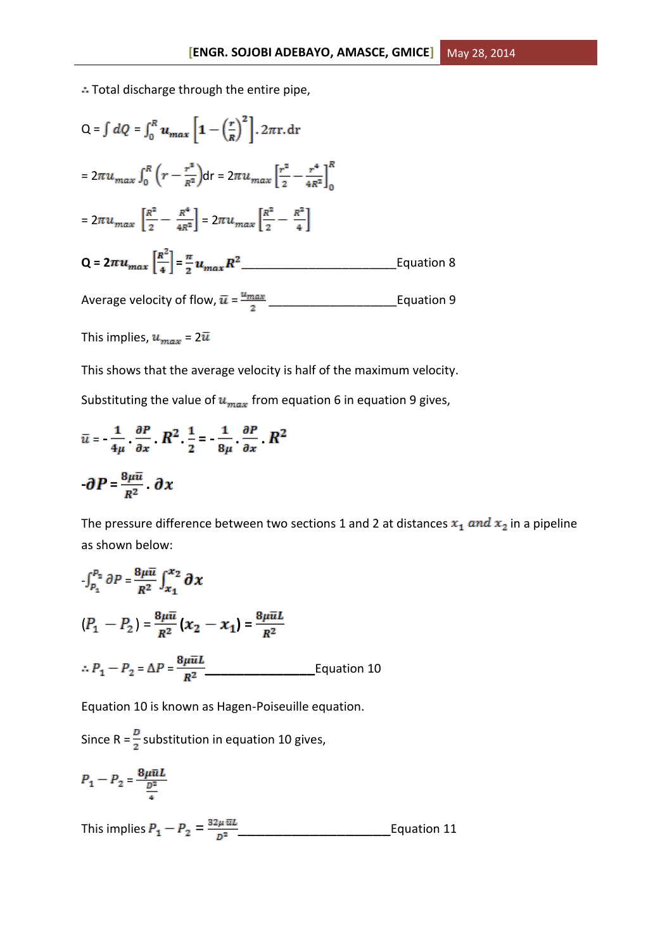: Total discharge through the entire pipe,

$$
Q = \int dQ = \int_0^R u_{max} \left[ 1 - \left(\frac{r}{R}\right)^2 \right] \cdot 2\pi r \cdot dr
$$
  
\n
$$
= 2\pi u_{max} \int_0^R \left( r - \frac{r^3}{R^2} \right) dr = 2\pi u_{max} \left[ \frac{r^2}{2} - \frac{r^4}{4R^2} \right]_0^R
$$
  
\n
$$
= 2\pi u_{max} \left[ \frac{R^2}{2} - \frac{R^4}{4R^2} \right] = 2\pi u_{max} \left[ \frac{R^2}{2} - \frac{R^2}{4} \right]
$$
  
\n
$$
Q = 2\pi u_{max} \left[ \frac{R^2}{4} \right] = \frac{\pi}{2} u_{max} R^2
$$
Equation 8  
\nAverage velocity of flow,  $\bar{u} = \frac{u_{max}}{2}$ Equation 9

This implies,  $u_{max} = 2\overline{u}$ 

This shows that the average velocity is half of the maximum velocity.

Substituting the value of  $u_{max}$  from equation 6 in equation 9 gives,

$$
\bar{u} = \frac{1}{4\mu} \frac{\partial P}{\partial x} \cdot R^2 \frac{1}{2} = \frac{1}{8\mu} \frac{\partial P}{\partial x} \cdot R^2
$$

$$
\partial P = \frac{8\mu \bar{u}}{R^2} \cdot \partial x
$$

The pressure difference between two sections 1 and 2 at distances  $x_1$  and  $x_2$  in a pipeline as shown below:

$$
\int_{P_1}^{P_2} \partial P = \frac{8\mu \bar{u}}{R^2} \int_{x_1}^{x_2} \partial x
$$
  
\n
$$
(P_1 - P_2) = \frac{8\mu \bar{u}}{R^2} (x_2 - x_1) = \frac{8\mu \bar{u}L}{R^2}
$$
  
\n
$$
\therefore P_1 - P_2 = \Delta P = \frac{8\mu \bar{u}L}{R^2}
$$
 Equation 10

Equation 10 is known as Hagen-Poiseuille equation.

Since R =  $\frac{D}{2}$  substitution in equation 10 gives,

$$
P_1 - P_2 = \frac{8\mu\bar{u}L}{\frac{D^2}{4}}
$$

This implies  $P_1 - P_2 = \frac{32 \mu \pi L}{D^2}$  Equation 11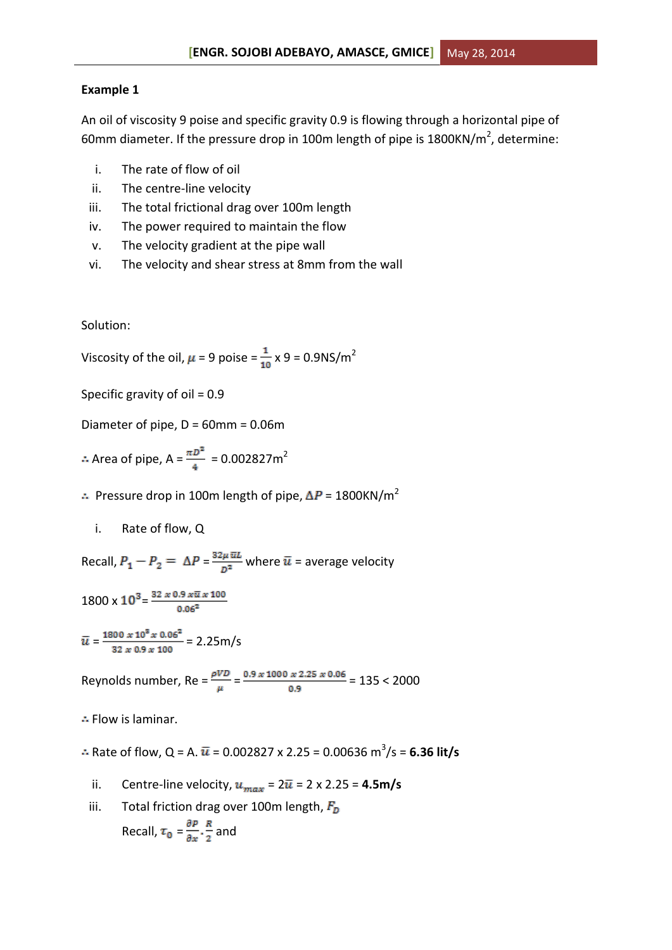#### **Example 1**

An oil of viscosity 9 poise and specific gravity 0.9 is flowing through a horizontal pipe of 60mm diameter. If the pressure drop in 100m length of pipe is 1800KN/m<sup>2</sup>, determine:

- i. The rate of flow of oil
- ii. The centre-line velocity
- iii. The total frictional drag over 100m length
- iv. The power required to maintain the flow
- v. The velocity gradient at the pipe wall
- vi. The velocity and shear stress at 8mm from the wall

Solution:

Viscosity of the oil,  $\mu$  = 9 poise =  $\frac{1}{10}$  x 9 = 0.9NS/m<sup>2</sup>

Specific gravity of oil = 0.9

Diameter of pipe, D = 60mm = 0.06m

Area of pipe,  $A = \frac{\pi D^2}{4} = 0.002827 m^2$ 

- $\therefore$  Pressure drop in 100m length of pipe,  $\Delta P = 1800 \text{KN/m}^2$ 
	- i. Rate of flow, Q

Recall,  $P_1 - P_2 = \Delta P = \frac{32 \mu \,\overline{u}L}{D^2}$  where  $\overline{u}$  = average velocity

 $1800 \times 10^3 = \frac{32 \times 0.9 \times \overline{u} \times 100}{0.06^2}$ 

$$
\bar{u} = \frac{1800 \times 10^8 \times 0.06^2}{32 \times 0.9 \times 100} = 2.25 \text{m/s}
$$

Reynolds number, Re =  $\frac{\rho V D}{\mu}$  =  $\frac{0.9 \times 1000 \times 2.25 \times 0.06}{0.9}$  = 135 < 2000

 $\therefore$  Flow is laminar.

- Rate of flow, Q = A.  $\bar{u}$  = 0.002827 x 2.25 = 0.00636 m<sup>3</sup>/s = **6.36 lit/s**
- ii. Centre-line velocity,  $u_{max} = 2\bar{u} = 2 \times 2.25 = 4.5 \text{m/s}$
- iii. Total friction drag over 100m length,  $F_D$ Recall,  $\tau_0 = \frac{\partial P}{\partial x} \cdot \frac{R}{2}$  and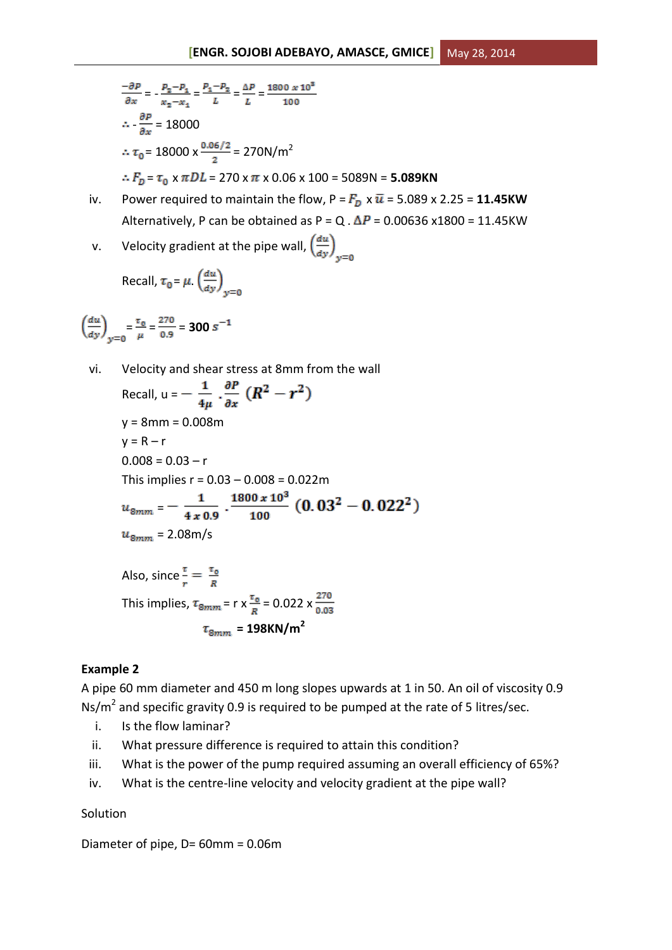$$
\frac{-\partial P}{\partial x} = -\frac{P_2 - P_4}{x_2 - x_4} = \frac{P_1 - P_2}{L} = \frac{\Delta P}{L} = \frac{1800 \times 10^8}{100}
$$
  
\n
$$
\therefore \frac{\partial P}{\partial x} = 18000
$$
  
\n
$$
\therefore \tau_0 = 18000 \times \frac{0.06/2}{2} = 270 \text{ N/m}^2
$$
  
\n
$$
\therefore F_D = \tau_0 \times \pi DL = 270 \times \pi \times 0.06 \times 100 = 5089 \text{ N} = 5.089 \text{ K N}
$$

- iv. Power required to maintain the flow,  $P = F_D \times \bar{u} = 5.089 \times 2.25 = 11.45$ KW Alternatively, P can be obtained as P = Q.  $\Delta P$  = 0.00636 x1800 = 11.45KW
- v. Velocity gradient at the pipe wall,  $\left(\frac{du}{dy}\right)_{y=0}$

Recall, 
$$
\tau_0 = \mu \cdot \left(\frac{du}{dy}\right)_{y=0}
$$

$$
\left(\frac{du}{dy}\right)_{y=0} = \frac{\tau_0}{\mu} = \frac{270}{0.9} = 300 s^{-1}
$$

vi. Velocity and shear stress at 8mm from the wall

Recall, 
$$
u = -\frac{1}{4\mu} \cdot \frac{\partial P}{\partial x} (R^2 - r^2)
$$
  
\n $y = 8 \text{mm} = 0.008 \text{m}$   
\n $y = R - r$   
\n $0.008 = 0.03 - r$   
\nThis implies  $r = 0.03 - 0.008 = 0.022 \text{m}$   
\n $u_{8mm} = -\frac{1}{4 \times 0.9} \cdot \frac{1800 \times 10^3}{100} (0.03^2 - 0.022^2)$   
\n $u_{8mm} = 2.08 \text{m/s}$   
\nAlso, since  $\frac{\pi}{r} = \frac{\pi_0}{R}$   
\nThis implies,  $\tau_{8mm} = r \times \frac{\pi_0}{R} = 0.022 \times \frac{270}{0.03}$   
\n $\tau_{8mm} = 198 \text{KN/m}^2$ 

## **Example 2**

A pipe 60 mm diameter and 450 m long slopes upwards at 1 in 50. An oil of viscosity 0.9 Ns/ $m^2$  and specific gravity 0.9 is required to be pumped at the rate of 5 litres/sec.

- i. Is the flow laminar?
- ii. What pressure difference is required to attain this condition?
- iii. What is the power of the pump required assuming an overall efficiency of 65%?
- iv. What is the centre-line velocity and velocity gradient at the pipe wall?

## Solution

Diameter of pipe, D= 60mm = 0.06m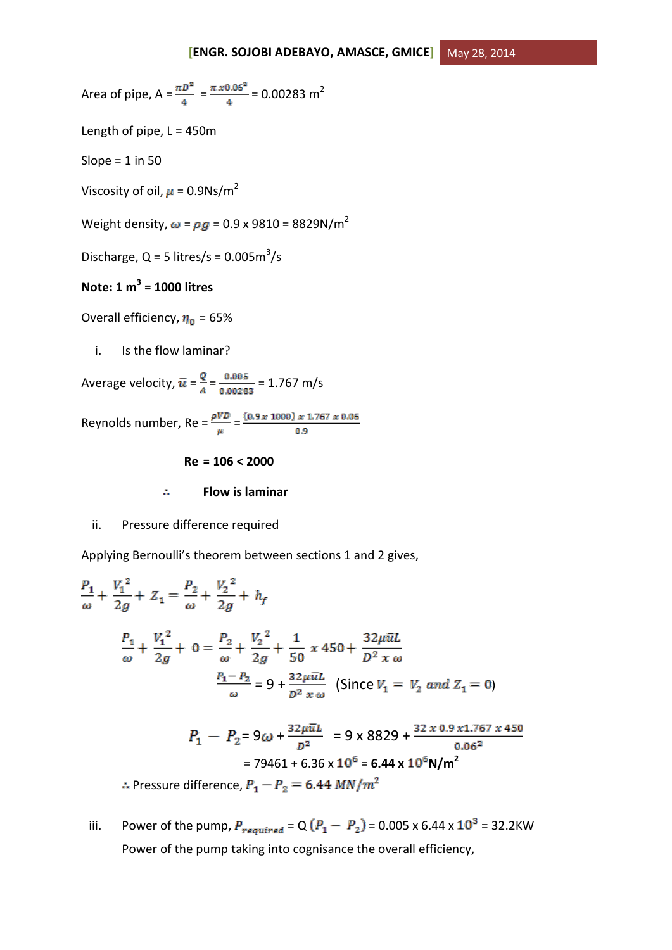Area of pipe, 
$$
A = \frac{\pi D^2}{4} = \frac{\pi x 0.06^2}{4} = 0.00283 \text{ m}^2
$$

Length of pipe,  $L = 450$ m

Slope =  $1$  in 50

Viscosity of oil,  $\mu$  = 0.9Ns/m<sup>2</sup>

Weight density,  $\omega = \rho g = 0.9 \times 9810 = 8829 \text{N/m}^2$ 

Discharge,  $Q = 5$  litres/s = 0.005 $m^3$ /s

# **Note: 1 m 3 = 1000 litres**

Overall efficiency,  $\eta_0$  = 65%

i. Is the flow laminar?

Average velocity,  $\bar{u} = \frac{Q}{A} = \frac{0.005}{0.00283} = 1.767$  m/s

Reynolds number, Re =  $\frac{\rho V D}{\mu} = \frac{(0.9 \times 1000) \times 1.767 \times 0.06}{0.9}$ 

**Re = 106 < 2000**

A. **Flow is laminar**

ii. Pressure difference required

Applying Bernoulli's theorem between sections 1 and 2 gives,

$$
\frac{P_1}{\omega} + \frac{V_1^2}{2g} + Z_1 = \frac{P_2}{\omega} + \frac{V_2^2}{2g} + h_f
$$
  

$$
\frac{P_1}{\omega} + \frac{V_1^2}{2g} + 0 = \frac{P_2}{\omega} + \frac{V_2^2}{2g} + \frac{1}{50} x 450 + \frac{32\mu \bar{u}L}{D^2 x \omega}
$$
  

$$
\frac{P_1 - P_2}{\omega} = 9 + \frac{32\mu \bar{u}L}{D^2 x \omega} \text{ (Since } V_1 = V_2 \text{ and } Z_1 = 0)
$$
  

$$
P_1 - P_2 = 9\omega + \frac{32\mu \bar{u}L}{D^2} = 9 \times 8829 + \frac{32 \times 0.9 \times 1.767 \times 450}{0.06^2}
$$
  

$$
= 79461 + 6.36 \times 10^6 = 6.44 \times 10^6 \text{ N/m}^2
$$

 $\therefore$  Pressure difference,  $P_1 - P_2 = 6.44$  MN/ $m^2$ 

iii. Power of the pump,  $P_{required} = Q(P_1 - P_2) = 0.005 \times 6.44 \times 10^3 = 32.2$ KW Power of the pump taking into cognisance the overall efficiency,